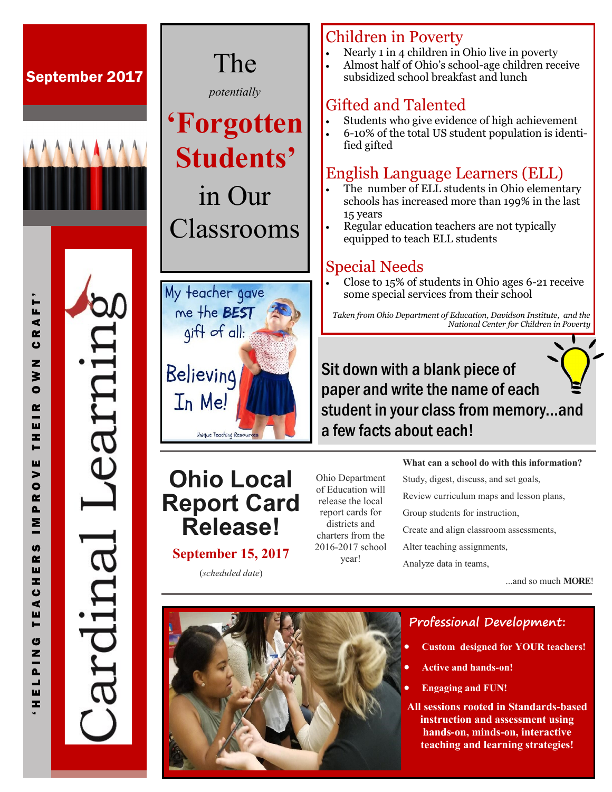# September 2017 The



È

⋖

 $\sim$ 

 $\bullet$ z

 $\geq$  $\bullet$ 

 $\alpha$ ш

Ŧ.  $\blacksquare$ ш  $\blacktriangleright$  $\bullet$ œ  $\mathbf{a}$ Σ

**S**  $\alpha$ ш z.  $\bullet$  $\blacktriangleleft$ ш  $\blacksquare$ G  $\mathbf{z}$  $\overline{a}$ ┙ ш  $\mathbf{r}$ 

*potentially*

# **'Forgotten Students'**  in Our

Classrooms



#### Children in Poverty

- Nearly 1 in 4 children in Ohio live in poverty
- Almost half of Ohio's school-age children receive subsidized school breakfast and lunch

## Gifted and Talented

- Students who give evidence of high achievement
- 6-10% of the total US student population is identified gifted

# English Language Learners (ELL)

- The number of ELL students in Ohio elementary schools has increased more than 199% in the last 15 years
- Regular education teachers are not typically equipped to teach ELL students

#### Special Needs

 Close to 15% of students in Ohio ages 6-21 receive some special services from their school

*Taken from Ohio Department of Education, Davidson Institute, and the National Center for Children in Poverty*

# Sit down with a blank piece of paper and write the name of each student in your class from memory...and a few facts about each!

# **Ohio Local Report Card Release!**

#### **September 15, 2017**

(*scheduled date*)

Ohio Department of Education will release the local report cards for districts and charters from the 2016-2017 school year!

**What can a school do with this information?**

Study, digest, discuss, and set goals, Review curriculum maps and lesson plans, Group students for instruction, Create and align classroom assessments, Alter teaching assignments, Analyze data in teams,

...and so much **MORE**!



### **Professional Development:**

- **Custom designed for YOUR teachers!**
- **Active and hands-on!**
- **Engaging and FUN!**

**All sessions rooted in Standards-based instruction and assessment using hands-on, minds-on, interactive teaching and learning strategies!**